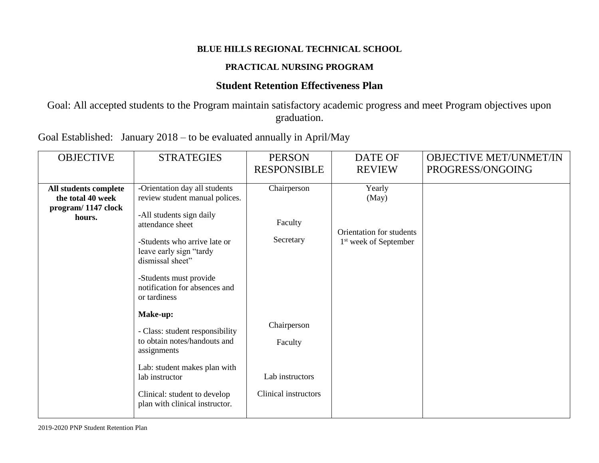## **BLUE HILLS REGIONAL TECHNICAL SCHOOL**

## **PRACTICAL NURSING PROGRAM**

## **Student Retention Effectiveness Plan**

Goal: All accepted students to the Program maintain satisfactory academic progress and meet Program objectives upon graduation.

Goal Established: January 2018 – to be evaluated annually in April/May

| <b>OBJECTIVE</b>                                                 | <b>STRATEGIES</b>                                                                                                           | <b>PERSON</b>                           | <b>DATE OF</b>                                                | <b>OBJECTIVE MET/UNMET/IN</b> |
|------------------------------------------------------------------|-----------------------------------------------------------------------------------------------------------------------------|-----------------------------------------|---------------------------------------------------------------|-------------------------------|
|                                                                  |                                                                                                                             | <b>RESPONSIBLE</b>                      | <b>REVIEW</b>                                                 | PROGRESS/ONGOING              |
| All students complete<br>the total 40 week<br>program/1147 clock | -Orientation day all students<br>review student manual polices.                                                             | Chairperson                             | Yearly<br>(May)                                               |                               |
| hours.                                                           | -All students sign daily<br>attendance sheet<br>-Students who arrive late or<br>leave early sign "tardy<br>dismissal sheet" | Faculty<br>Secretary                    | Orientation for students<br>1 <sup>st</sup> week of September |                               |
|                                                                  | -Students must provide<br>notification for absences and<br>or tardiness                                                     |                                         |                                                               |                               |
|                                                                  | Make-up:<br>- Class: student responsibility<br>to obtain notes/handouts and<br>assignments                                  | Chairperson<br>Faculty                  |                                                               |                               |
|                                                                  | Lab: student makes plan with<br>lab instructor<br>Clinical: student to develop<br>plan with clinical instructor.            | Lab instructors<br>Clinical instructors |                                                               |                               |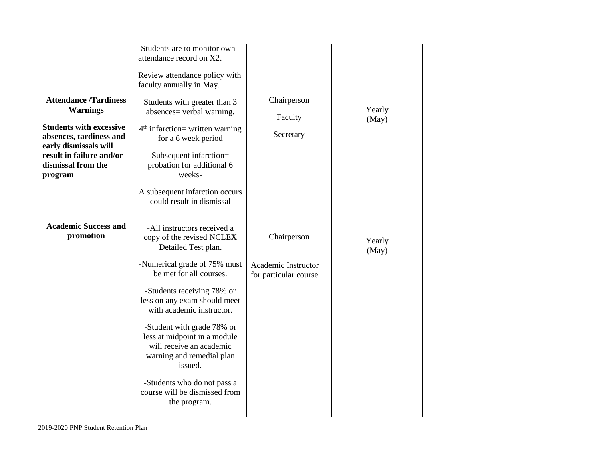|                                                  | -Students are to monitor own<br>attendance record on X2. |                       |        |  |
|--------------------------------------------------|----------------------------------------------------------|-----------------------|--------|--|
|                                                  |                                                          |                       |        |  |
|                                                  | Review attendance policy with                            |                       |        |  |
|                                                  | faculty annually in May.                                 |                       |        |  |
|                                                  |                                                          |                       |        |  |
| <b>Attendance /Tardiness</b>                     | Students with greater than 3                             | Chairperson           |        |  |
| <b>Warnings</b>                                  | absences= verbal warning.                                |                       | Yearly |  |
| <b>Students with excessive</b>                   |                                                          | Faculty               | (May)  |  |
|                                                  | $4th$ infarction= written warning                        | Secretary             |        |  |
| absences, tardiness and<br>early dismissals will | for a 6 week period                                      |                       |        |  |
| result in failure and/or                         | Subsequent infarction=                                   |                       |        |  |
| dismissal from the                               | probation for additional 6                               |                       |        |  |
| program                                          | weeks-                                                   |                       |        |  |
|                                                  |                                                          |                       |        |  |
|                                                  | A subsequent infarction occurs                           |                       |        |  |
|                                                  | could result in dismissal                                |                       |        |  |
|                                                  |                                                          |                       |        |  |
| <b>Academic Success and</b>                      |                                                          |                       |        |  |
| promotion                                        | -All instructors received a                              |                       |        |  |
|                                                  | copy of the revised NCLEX                                | Chairperson           | Yearly |  |
|                                                  | Detailed Test plan.                                      |                       | (May)  |  |
|                                                  | -Numerical grade of 75% must                             | Academic Instructor   |        |  |
|                                                  | be met for all courses.                                  | for particular course |        |  |
|                                                  |                                                          |                       |        |  |
|                                                  | -Students receiving 78% or                               |                       |        |  |
|                                                  | less on any exam should meet                             |                       |        |  |
|                                                  | with academic instructor.                                |                       |        |  |
|                                                  |                                                          |                       |        |  |
|                                                  | -Student with grade 78% or                               |                       |        |  |
|                                                  | less at midpoint in a module<br>will receive an academic |                       |        |  |
|                                                  | warning and remedial plan                                |                       |        |  |
|                                                  | issued.                                                  |                       |        |  |
|                                                  |                                                          |                       |        |  |
|                                                  | -Students who do not pass a                              |                       |        |  |
|                                                  | course will be dismissed from                            |                       |        |  |
|                                                  | the program.                                             |                       |        |  |
|                                                  |                                                          |                       |        |  |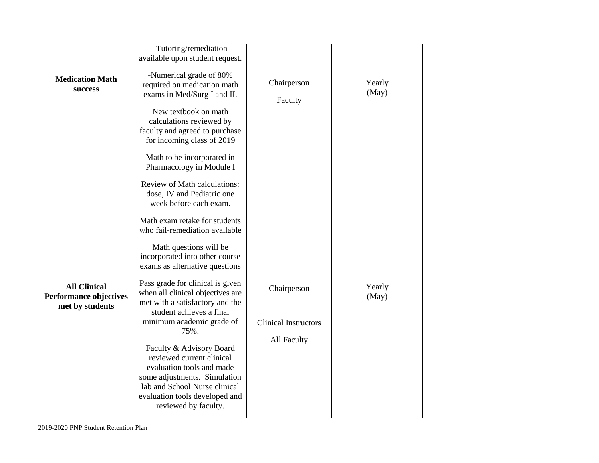| Chairperson | Yearly<br>(May)                                       |                 |
|-------------|-------------------------------------------------------|-----------------|
|             |                                                       |                 |
| All Faculty |                                                       |                 |
|             |                                                       |                 |
|             | Chairperson<br>Faculty<br><b>Clinical Instructors</b> | Yearly<br>(May) |